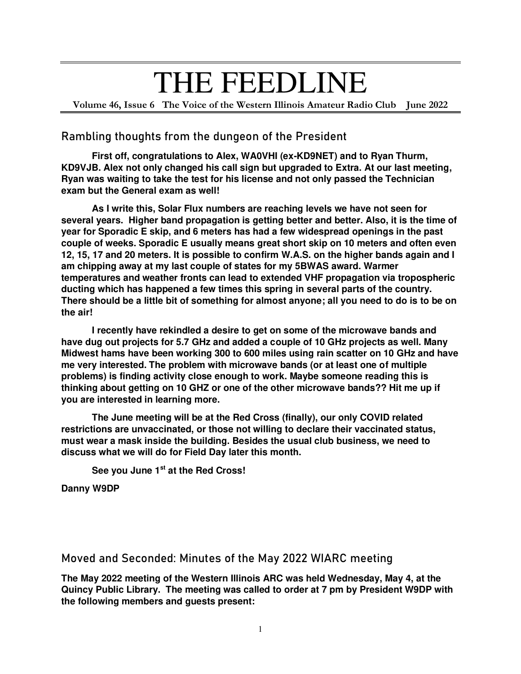## THE FEEDLINE

**Volume 46, Issue 6 The Voice of the Western Illinois Amateur Radio Club June 2022** 

## **Rambling thoughts from the dungeon of the President**

 **First off, congratulations to Alex, WA0VHI (ex-KD9NET) and to Ryan Thurm, KD9VJB. Alex not only changed his call sign but upgraded to Extra. At our last meeting, Ryan was waiting to take the test for his license and not only passed the Technician exam but the General exam as well!** 

 **As I write this, Solar Flux numbers are reaching levels we have not seen for several years. Higher band propagation is getting better and better. Also, it is the time of year for Sporadic E skip, and 6 meters has had a few widespread openings in the past couple of weeks. Sporadic E usually means great short skip on 10 meters and often even 12, 15, 17 and 20 meters. It is possible to confirm W.A.S. on the higher bands again and I am chipping away at my last couple of states for my 5BWAS award. Warmer temperatures and weather fronts can lead to extended VHF propagation via tropospheric ducting which has happened a few times this spring in several parts of the country. There should be a little bit of something for almost anyone; all you need to do is to be on the air!** 

 **I recently have rekindled a desire to get on some of the microwave bands and have dug out projects for 5.7 GHz and added a couple of 10 GHz projects as well. Many Midwest hams have been working 300 to 600 miles using rain scatter on 10 GHz and have me very interested. The problem with microwave bands (or at least one of multiple problems) is finding activity close enough to work. Maybe someone reading this is thinking about getting on 10 GHZ or one of the other microwave bands?? Hit me up if you are interested in learning more.** 

 **The June meeting will be at the Red Cross (finally), our only COVID related restrictions are unvaccinated, or those not willing to declare their vaccinated status, must wear a mask inside the building. Besides the usual club business, we need to discuss what we will do for Field Day later this month.** 

 **See you June 1st at the Red Cross!** 

**Danny W9DP** 

**Moved and Seconded: Minutes of the May 2022 WIARC meeting** 

**The May 2022 meeting of the Western Illinois ARC was held Wednesday, May 4, at the Quincy Public Library. The meeting was called to order at 7 pm by President W9DP with the following members and guests present:**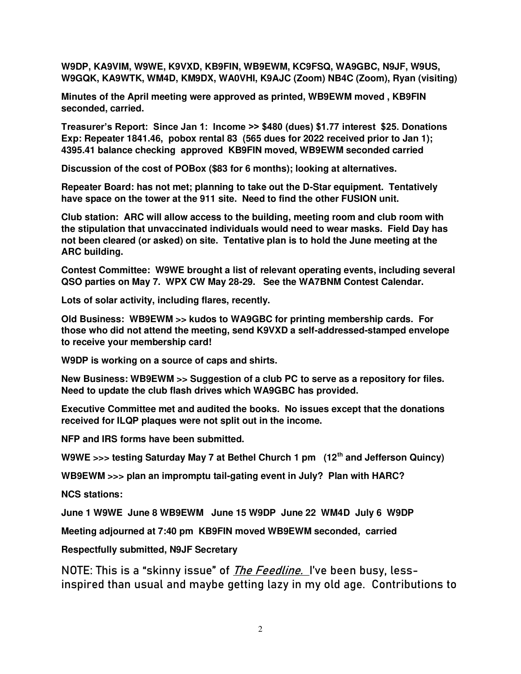**W9DP, KA9VIM, W9WE, K9VXD, KB9FIN, WB9EWM, KC9FSQ, WA9GBC, N9JF, W9US, W9GQK, KA9WTK, WM4D, KM9DX, WA0VHI, K9AJC (Zoom) NB4C (Zoom), Ryan (visiting)** 

**Minutes of the April meeting were approved as printed, WB9EWM moved , KB9FIN seconded, carried.** 

**Treasurer's Report: Since Jan 1: Income >> \$480 (dues) \$1.77 interest \$25. Donations Exp: Repeater 1841.46, pobox rental 83 (565 dues for 2022 received prior to Jan 1); 4395.41 balance checking approved KB9FIN moved, WB9EWM seconded carried** 

**Discussion of the cost of POBox (\$83 for 6 months); looking at alternatives.** 

**Repeater Board: has not met; planning to take out the D-Star equipment. Tentatively have space on the tower at the 911 site. Need to find the other FUSION unit.** 

**Club station: ARC will allow access to the building, meeting room and club room with the stipulation that unvaccinated individuals would need to wear masks. Field Day has not been cleared (or asked) on site. Tentative plan is to hold the June meeting at the ARC building.**

**Contest Committee: W9WE brought a list of relevant operating events, including several QSO parties on May 7. WPX CW May 28-29. See the WA7BNM Contest Calendar.** 

**Lots of solar activity, including flares, recently.** 

**Old Business: WB9EWM >> kudos to WA9GBC for printing membership cards. For those who did not attend the meeting, send K9VXD a self-addressed-stamped envelope to receive your membership card!** 

**W9DP is working on a source of caps and shirts.** 

**New Business: WB9EWM >> Suggestion of a club PC to serve as a repository for files. Need to update the club flash drives which WA9GBC has provided.** 

**Executive Committee met and audited the books. No issues except that the donations received for ILQP plaques were not split out in the income.** 

**NFP and IRS forms have been submitted.** 

**W9WE >>> testing Saturday May 7 at Bethel Church 1 pm (12th and Jefferson Quincy)** 

**WB9EWM >>> plan an impromptu tail-gating event in July? Plan with HARC?** 

**NCS stations:** 

**June 1 W9WE June 8 WB9EWM June 15 W9DP June 22 WM4D July 6 W9DP** 

**Meeting adjourned at 7:40 pm KB9FIN moved WB9EWM seconded, carried**

**Respectfully submitted, N9JF Secretary** 

**NOTE: This is a "skinny issue" of The Feedline. I've been busy, lessinspired than usual and maybe getting lazy in my old age. Contributions to**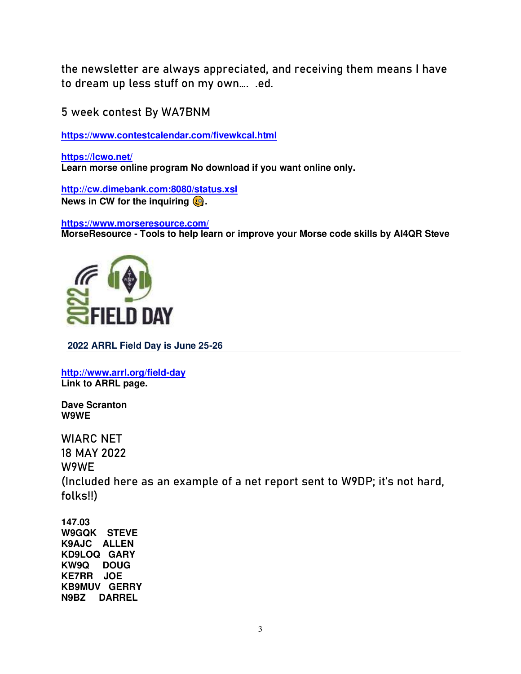**the newsletter are always appreciated, and receiving them means I have to dream up less stuff on my own…. .ed.**

**5 week contest By WA7BNM** 

**<https://www.contestcalendar.com/fivewkcal.html>**

**<https://lcwo.net/> Learn morse online program No download if you want online only.** 

**<http://cw.dimebank.com:8080/status.xsl> News in CW for the inquiring**  $\mathbf{Q}$ **.** 

**<https://www.morseresource.com/> MorseResource - Tools to help learn or improve your Morse code skills by AI4QR Steve** 



**2022 ARRL Field Day is June 25-26**

**<http://www.arrl.org/field-day> Link to ARRL page.** 

**Dave Scranton W9WE** 

**WIARC NET 18 MAY 2022 W9WE (Included here as an example of a net report sent to W9DP; it's not hard, folks!!)** 

**147.03 W9GQK STEVE K9AJC ALLEN KD9LOQ GARY KW9Q DOUG KE7RR JOE KB9MUV GERRY N9BZ DARREL**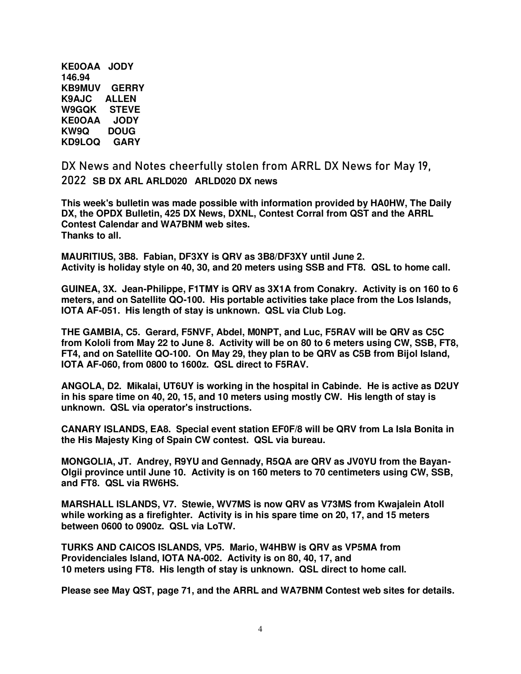**KE0OAA JODY 146.94 KB9MUV GERRY K9AJC ALLEN W9GQK STEVE KE0OAA JODY KW9Q DOUG KD9LOQ GARY** 

**DX News and Notes cheerfully stolen from ARRL DX News for May 19, 2022 SB DX ARL ARLD020 ARLD020 DX news** 

**This week's bulletin was made possible with information provided by HA0HW, The Daily DX, the OPDX Bulletin, 425 DX News, DXNL, Contest Corral from QST and the ARRL Contest Calendar and WA7BNM web sites. Thanks to all.** 

**MAURITIUS, 3B8. Fabian, DF3XY is QRV as 3B8/DF3XY until June 2. Activity is holiday style on 40, 30, and 20 meters using SSB and FT8. QSL to home call.** 

**GUINEA, 3X. Jean-Philippe, F1TMY is QRV as 3X1A from Conakry. Activity is on 160 to 6 meters, and on Satellite QO-100. His portable activities take place from the Los Islands, IOTA AF-051. His length of stay is unknown. QSL via Club Log.** 

**THE GAMBIA, C5. Gerard, F5NVF, Abdel, M0NPT, and Luc, F5RAV will be QRV as C5C from Kololi from May 22 to June 8. Activity will be on 80 to 6 meters using CW, SSB, FT8, FT4, and on Satellite QO-100. On May 29, they plan to be QRV as C5B from Bijol Island, IOTA AF-060, from 0800 to 1600z. QSL direct to F5RAV.** 

**ANGOLA, D2. Mikalai, UT6UY is working in the hospital in Cabinde. He is active as D2UY in his spare time on 40, 20, 15, and 10 meters using mostly CW. His length of stay is unknown. QSL via operator's instructions.** 

**CANARY ISLANDS, EA8. Special event station EF0F/8 will be QRV from La Isla Bonita in the His Majesty King of Spain CW contest. QSL via bureau.** 

**MONGOLIA, JT. Andrey, R9YU and Gennady, R5QA are QRV as JV0YU from the Bayan-Olgii province until June 10. Activity is on 160 meters to 70 centimeters using CW, SSB, and FT8. QSL via RW6HS.** 

**MARSHALL ISLANDS, V7. Stewie, WV7MS is now QRV as V73MS from Kwajalein Atoll while working as a firefighter. Activity is in his spare time on 20, 17, and 15 meters between 0600 to 0900z. QSL via LoTW.** 

**TURKS AND CAICOS ISLANDS, VP5. Mario, W4HBW is QRV as VP5MA from Providenciales Island, IOTA NA-002. Activity is on 80, 40, 17, and 10 meters using FT8. His length of stay is unknown. QSL direct to home call.** 

**Please see May QST, page 71, and the ARRL and WA7BNM Contest web sites for details.**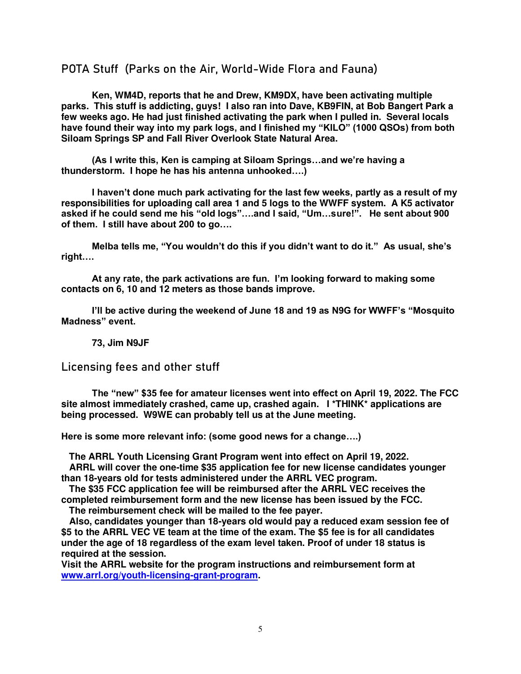## **POTA Stuff (Parks on the Air, World-Wide Flora and Fauna)**

 **Ken, WM4D, reports that he and Drew, KM9DX, have been activating multiple parks. This stuff is addicting, guys! I also ran into Dave, KB9FIN, at Bob Bangert Park a few weeks ago. He had just finished activating the park when I pulled in. Several locals have found their way into my park logs, and I finished my "KILO" (1000 QSOs) from both Siloam Springs SP and Fall River Overlook State Natural Area.** 

**(As I write this, Ken is camping at Siloam Springs…and we're having a thunderstorm. I hope he has his antenna unhooked….)**

**I haven't done much park activating for the last few weeks, partly as a result of my responsibilities for uploading call area 1 and 5 logs to the WWFF system. A K5 activator asked if he could send me his "old logs"….and I said, "Um…sure!". He sent about 900 of them. I still have about 200 to go….**

**Melba tells me, "You wouldn't do this if you didn't want to do it." As usual, she's right….**

**At any rate, the park activations are fun. I'm looking forward to making some contacts on 6, 10 and 12 meters as those bands improve.** 

**I'll be active during the weekend of June 18 and 19 as N9G for WWFF's "Mosquito Madness" event.** 

 **73, Jim N9JF** 

**Licensing fees and other stuff** 

**The "new" \$35 fee for amateur licenses went into effect on April 19, 2022. The FCC site almost immediately crashed, came up, crashed again. I \*THINK\* applications are being processed. W9WE can probably tell us at the June meeting.**

**Here is some more relevant info: (some good news for a change….)**

 **The ARRL Youth Licensing Grant Program went into effect on April 19, 2022.** 

 **ARRL will cover the one-time \$35 application fee for new license candidates younger than 18-years old for tests administered under the ARRL VEC program.** 

 **The \$35 FCC application fee will be reimbursed after the ARRL VEC receives the completed reimbursement form and the new license has been issued by the FCC.** 

 **The reimbursement check will be mailed to the fee payer.** 

 **Also, candidates younger than 18-years old would pay a reduced exam session fee of \$5 to the ARRL VEC VE team at the time of the exam. The \$5 fee is for all candidates under the age of 18 regardless of the exam level taken. Proof of under 18 status is required at the session.** 

**Visit the ARRL website for the program instructions and reimbursement form at [www.arrl.org/youth-licensing-grant-program.](http://www.arrl.org/youth-licensing-grant-program)**